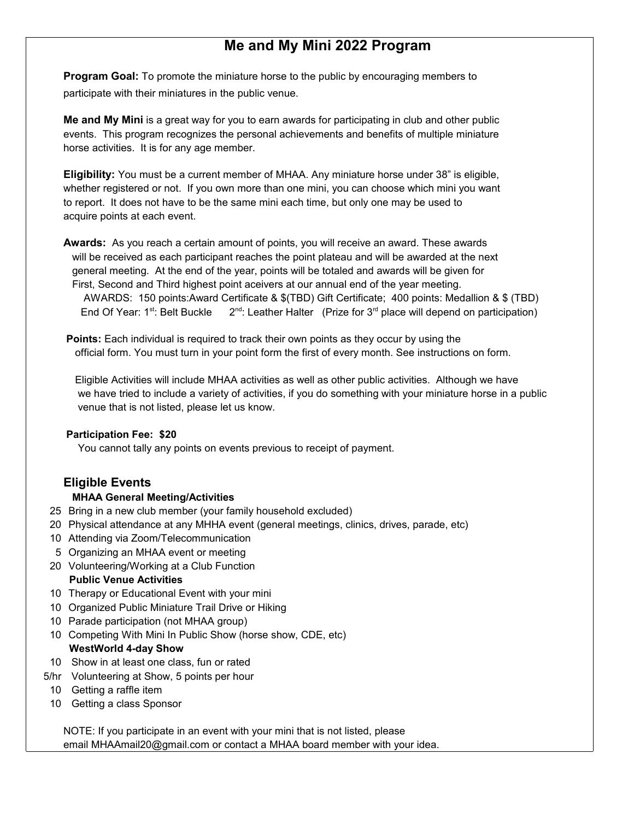## **Me and My Mini 2022 Program**

**Program Goal:** To promote the miniature horse to the public by encouraging members to participate with their miniatures in the public venue.

**Me and My Mini** is a great way for you to earn awards for participating in club and other public events. This program recognizes the personal achievements and benefits of multiple miniature horse activities. It is for any age member.

**Eligibility:** You must be a current member of MHAA. Any miniature horse under 38" is eligible, whether registered or not. If you own more than one mini, you can choose which mini you want to report. It does not have to be the same mini each time, but only one may be used to acquire points at each event.

**Awards:** As you reach a certain amount of points, you will receive an award. These awards will be received as each participant reaches the point plateau and will be awarded at the next general meeting. At the end of the year, points will be totaled and awards will be given for First, Second and Third highest point aceivers at our annual end of the year meeting. AWARDS: 150 points:Award Certificate & \$(TBD) Gift Certificate; 400 points: Medallion & \$ (TBD) End Of Year:  $1^{st}$ : Belt Buckle  $2^{nd}$ : Leather Halter (Prize for  $3^{rd}$  place will depend on participation)

**Points:** Each individual is required to track their own points as they occur by using the official form. You must turn in your point form the first of every month. See instructions on form.

 Eligible Activities will include MHAA activities as well as other public activities. Although we have we have tried to include a variety of activities, if you do something with your miniature horse in a public venue that is not listed, please let us know.

## **Participation Fee: \$20**

You cannot tally any points on events previous to receipt of payment.

## **Eligible Events**

## **MHAA General Meeting/Activities**

- 25 Bring in a new club member (your family household excluded)
- 20 Physical attendance at any MHHA event (general meetings, clinics, drives, parade, etc)
- 10 Attending via Zoom/Telecommunication
- 5 Organizing an MHAA event or meeting
- 20 Volunteering/Working at a Club Function  **Public Venue Activities**
- 10 Therapy or Educational Event with your mini
- 10 Organized Public Miniature Trail Drive or Hiking
- 10 Parade participation (not MHAA group)
- 10 Competing With Mini In Public Show (horse show, CDE, etc)  **WestWorld 4-day Show**
- 10 Show in at least one class, fun or rated
- 5/hr Volunteering at Show, 5 points per hour
- 10 Getting a raffle item
- 10 Getting a class Sponsor

NOTE: If you participate in an event with your mini that is not listed, please email MHAAmail20@gmail.com or contact a MHAA board member with your idea.